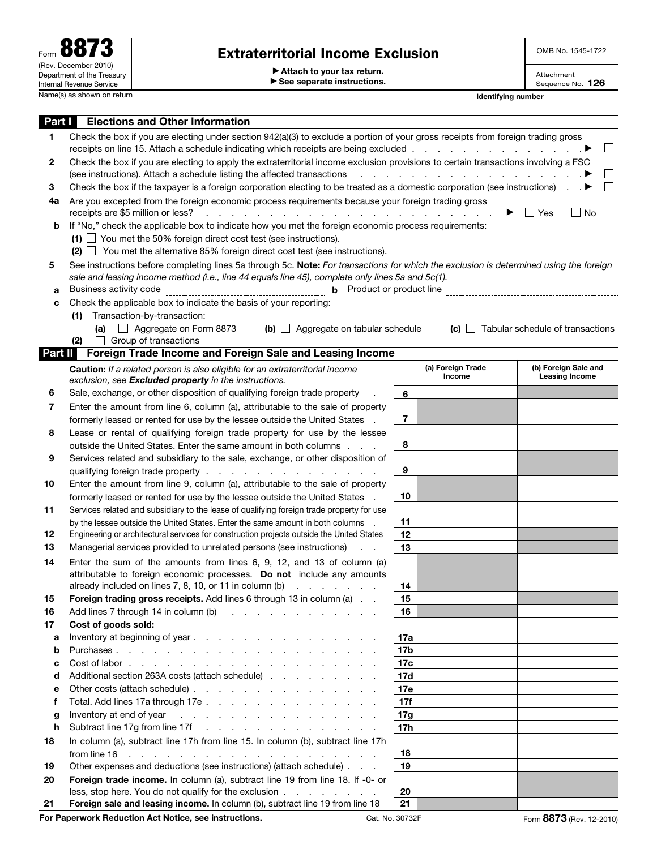OMB No. 1545-1722

Attachment Sequence No. 126

▶ Attach to your tax return.

▶ See separate instructions.

| Part I  | <b>Elections and Other Information</b>                                                                                                                                                                                                         |                                                                                                                             |                                                                                                                                                                                                                               |  |                                               |  |  |  |  |
|---------|------------------------------------------------------------------------------------------------------------------------------------------------------------------------------------------------------------------------------------------------|-----------------------------------------------------------------------------------------------------------------------------|-------------------------------------------------------------------------------------------------------------------------------------------------------------------------------------------------------------------------------|--|-----------------------------------------------|--|--|--|--|
| 1       | Check the box if you are electing under section 942(a)(3) to exclude a portion of your gross receipts from foreign trading gross                                                                                                               |                                                                                                                             |                                                                                                                                                                                                                               |  |                                               |  |  |  |  |
|         | receipts on line 15. Attach a schedule indicating which receipts are being excluded                                                                                                                                                            |                                                                                                                             |                                                                                                                                                                                                                               |  |                                               |  |  |  |  |
| 2       | Check the box if you are electing to apply the extraterritorial income exclusion provisions to certain transactions involving a FSC                                                                                                            |                                                                                                                             |                                                                                                                                                                                                                               |  |                                               |  |  |  |  |
|         | (see instructions). Attach a schedule listing the affected transactions                                                                                                                                                                        |                                                                                                                             | and the second contract of the second contract of the second contract of the second contract of the second contract of the second contract of the second contract of the second contract of the second contract of the second |  |                                               |  |  |  |  |
| З       |                                                                                                                                                                                                                                                | Check the box if the taxpayer is a foreign corporation electing to be treated as a domestic corporation (see instructions). |                                                                                                                                                                                                                               |  |                                               |  |  |  |  |
| 4a      | Are you excepted from the foreign economic process requirements because your foreign trading gross<br>receipts are \$5 million or less?<br>Yes<br>$\Box$ No                                                                                    |                                                                                                                             |                                                                                                                                                                                                                               |  |                                               |  |  |  |  |
| b       | If "No," check the applicable box to indicate how you met the foreign economic process requirements:                                                                                                                                           |                                                                                                                             |                                                                                                                                                                                                                               |  |                                               |  |  |  |  |
|         | $(1)$ $\Box$ You met the 50% foreign direct cost test (see instructions).                                                                                                                                                                      |                                                                                                                             |                                                                                                                                                                                                                               |  |                                               |  |  |  |  |
|         | $(2)$ $\Box$ You met the alternative 85% foreign direct cost test (see instructions).                                                                                                                                                          |                                                                                                                             |                                                                                                                                                                                                                               |  |                                               |  |  |  |  |
| 5       |                                                                                                                                                                                                                                                |                                                                                                                             |                                                                                                                                                                                                                               |  |                                               |  |  |  |  |
|         | See instructions before completing lines 5a through 5c. Note: For transactions for which the exclusion is determined using the foreign<br>sale and leasing income method (i.e., line 44 equals line 45), complete only lines 5a and $5c(1)$ .  |                                                                                                                             |                                                                                                                                                                                                                               |  |                                               |  |  |  |  |
| a       | Business activity code<br>Product or product line<br>b                                                                                                                                                                                         |                                                                                                                             |                                                                                                                                                                                                                               |  |                                               |  |  |  |  |
|         | Check the applicable box to indicate the basis of your reporting:                                                                                                                                                                              |                                                                                                                             |                                                                                                                                                                                                                               |  |                                               |  |  |  |  |
| c       | Transaction-by-transaction:<br>(1)                                                                                                                                                                                                             |                                                                                                                             |                                                                                                                                                                                                                               |  |                                               |  |  |  |  |
|         | $\Box$ Aggregate on Form 8873<br>(b) $\Box$ Aggregate on tabular schedule<br>(a)                                                                                                                                                               |                                                                                                                             |                                                                                                                                                                                                                               |  | $(c)$ $\Box$ Tabular schedule of transactions |  |  |  |  |
|         | Group of transactions<br>(2)                                                                                                                                                                                                                   |                                                                                                                             |                                                                                                                                                                                                                               |  |                                               |  |  |  |  |
| Part II | Foreign Trade Income and Foreign Sale and Leasing Income                                                                                                                                                                                       |                                                                                                                             |                                                                                                                                                                                                                               |  |                                               |  |  |  |  |
|         | <b>Caution:</b> If a related person is also eligible for an extraterritorial income                                                                                                                                                            |                                                                                                                             | (a) Foreign Trade                                                                                                                                                                                                             |  | (b) Foreign Sale and                          |  |  |  |  |
|         | exclusion, see Excluded property in the instructions.                                                                                                                                                                                          |                                                                                                                             | <b>Income</b>                                                                                                                                                                                                                 |  | <b>Leasing Income</b>                         |  |  |  |  |
| 6       | Sale, exchange, or other disposition of qualifying foreign trade property                                                                                                                                                                      | 6                                                                                                                           |                                                                                                                                                                                                                               |  |                                               |  |  |  |  |
| 7       | Enter the amount from line 6, column (a), attributable to the sale of property                                                                                                                                                                 |                                                                                                                             |                                                                                                                                                                                                                               |  |                                               |  |  |  |  |
|         | formerly leased or rented for use by the lessee outside the United States .                                                                                                                                                                    | 7                                                                                                                           |                                                                                                                                                                                                                               |  |                                               |  |  |  |  |
| 8       | Lease or rental of qualifying foreign trade property for use by the lessee                                                                                                                                                                     |                                                                                                                             |                                                                                                                                                                                                                               |  |                                               |  |  |  |  |
|         | outside the United States. Enter the same amount in both columns                                                                                                                                                                               | 8                                                                                                                           |                                                                                                                                                                                                                               |  |                                               |  |  |  |  |
| 9       | Services related and subsidiary to the sale, exchange, or other disposition of                                                                                                                                                                 |                                                                                                                             |                                                                                                                                                                                                                               |  |                                               |  |  |  |  |
|         | qualifying foreign trade property                                                                                                                                                                                                              | 9                                                                                                                           |                                                                                                                                                                                                                               |  |                                               |  |  |  |  |
| 10      | Enter the amount from line 9, column (a), attributable to the sale of property                                                                                                                                                                 |                                                                                                                             |                                                                                                                                                                                                                               |  |                                               |  |  |  |  |
|         | formerly leased or rented for use by the lessee outside the United States .                                                                                                                                                                    | 10                                                                                                                          |                                                                                                                                                                                                                               |  |                                               |  |  |  |  |
| 11      | Services related and subsidiary to the lease of qualifying foreign trade property for use                                                                                                                                                      |                                                                                                                             |                                                                                                                                                                                                                               |  |                                               |  |  |  |  |
|         | by the lessee outside the United States. Enter the same amount in both columns .                                                                                                                                                               | 11                                                                                                                          |                                                                                                                                                                                                                               |  |                                               |  |  |  |  |
| 12      | Engineering or architectural services for construction projects outside the United States                                                                                                                                                      | 12                                                                                                                          |                                                                                                                                                                                                                               |  |                                               |  |  |  |  |
| 13      | Managerial services provided to unrelated persons (see instructions)                                                                                                                                                                           | 13                                                                                                                          |                                                                                                                                                                                                                               |  |                                               |  |  |  |  |
| 14      | Enter the sum of the amounts from lines $6, 9, 12,$ and $13$ of column (a)                                                                                                                                                                     |                                                                                                                             |                                                                                                                                                                                                                               |  |                                               |  |  |  |  |
|         | attributable to foreign economic processes. Do not include any amounts                                                                                                                                                                         |                                                                                                                             |                                                                                                                                                                                                                               |  |                                               |  |  |  |  |
|         | already included on lines 7, 8, 10, or 11 in column (b) $\ldots$                                                                                                                                                                               | 14                                                                                                                          |                                                                                                                                                                                                                               |  |                                               |  |  |  |  |
| 15      | Foreign trading gross receipts. Add lines 6 through 13 in column (a)                                                                                                                                                                           | 15                                                                                                                          |                                                                                                                                                                                                                               |  |                                               |  |  |  |  |
| 16      | Add lines 7 through 14 in column (b)<br>the contract of the contract of the contract of                                                                                                                                                        | 16                                                                                                                          |                                                                                                                                                                                                                               |  |                                               |  |  |  |  |
| 17      | Cost of goods sold:                                                                                                                                                                                                                            |                                                                                                                             |                                                                                                                                                                                                                               |  |                                               |  |  |  |  |
| a       | Inventory at beginning of year.                                                                                                                                                                                                                | 17a                                                                                                                         |                                                                                                                                                                                                                               |  |                                               |  |  |  |  |
| b       |                                                                                                                                                                                                                                                | 17 <sub>b</sub>                                                                                                             |                                                                                                                                                                                                                               |  |                                               |  |  |  |  |
| c       |                                                                                                                                                                                                                                                | 17c                                                                                                                         |                                                                                                                                                                                                                               |  |                                               |  |  |  |  |
| d       | Additional section 263A costs (attach schedule)                                                                                                                                                                                                | 17d                                                                                                                         |                                                                                                                                                                                                                               |  |                                               |  |  |  |  |
| е       | Other costs (attach schedule)                                                                                                                                                                                                                  | 17e                                                                                                                         |                                                                                                                                                                                                                               |  |                                               |  |  |  |  |
| f       | Total. Add lines 17a through 17e                                                                                                                                                                                                               | 17f                                                                                                                         |                                                                                                                                                                                                                               |  |                                               |  |  |  |  |
| g       | Inventory at end of year<br>the contract of the contract of the contract of the contract of                                                                                                                                                    | 17g                                                                                                                         |                                                                                                                                                                                                                               |  |                                               |  |  |  |  |
| h       | Subtract line 17g from line 17f                                                                                                                                                                                                                | 17h                                                                                                                         |                                                                                                                                                                                                                               |  |                                               |  |  |  |  |
| 18      | In column (a), subtract line 17h from line 15. In column (b), subtract line 17h                                                                                                                                                                |                                                                                                                             |                                                                                                                                                                                                                               |  |                                               |  |  |  |  |
|         | from line 16<br>a constitution of the contract of the constitution of the constitution of the constitution of the constitution of the constitution of the constitution of the constitution of the constitution of the constitution of the cons | 18                                                                                                                          |                                                                                                                                                                                                                               |  |                                               |  |  |  |  |
| 19      | Other expenses and deductions (see instructions) (attach schedule)                                                                                                                                                                             | 19                                                                                                                          |                                                                                                                                                                                                                               |  |                                               |  |  |  |  |
| 20      | Foreign trade income. In column (a), subtract line 19 from line 18. If -0- or                                                                                                                                                                  |                                                                                                                             |                                                                                                                                                                                                                               |  |                                               |  |  |  |  |
|         | less, stop here. You do not qualify for the exclusion                                                                                                                                                                                          | 20                                                                                                                          |                                                                                                                                                                                                                               |  |                                               |  |  |  |  |
| 21      | Foreign sale and leasing income. In column (b), subtract line 19 from line 18                                                                                                                                                                  | 21                                                                                                                          |                                                                                                                                                                                                                               |  |                                               |  |  |  |  |